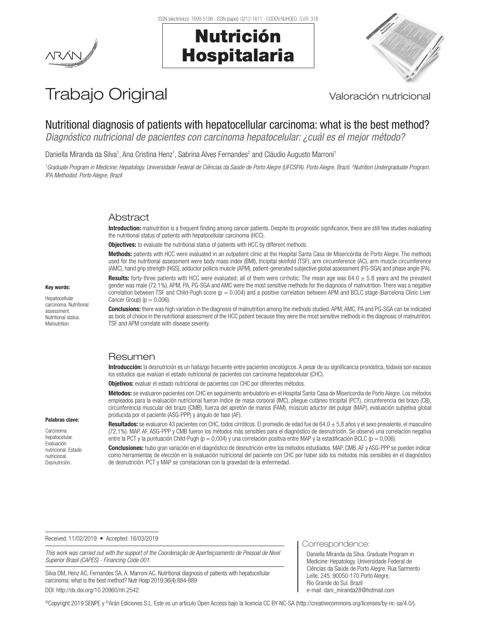ISSN (electrónico): 1699-5198 - ISSN (papel): 0212-1611 - CODEN NUHOEQ S.V.R. 318

# Nutrición Hospitalaria



# Trabajo Original Valoración nutricional

# Nutritional diagnosis of patients with hepatocellular carcinoma: what is the best method?

*Diagnóstico nutricional de pacientes con carcinoma hepatocelular: ¿cuál es el mejor método?*

Daniella Miranda da Silva<sup>1</sup>, Ana Cristina Henz<sup>1</sup>, Sabrina Alves Fernandes<sup>2</sup> and Cláudio Augusto Marroni<sup>1</sup>

*1 Graduate Program in Medicine: Hepatology. Universidade Federal de Ciências da Saúde de Porto Alegre (UFCSPA). Porto Alegre, Brazil. 2 Nutrition Undergraduate Program. IPA Methodist. Porto Alegre, Brazil*

# Abstract

Introduction: malnutrition is a frequent finding among cancer patients. Despite its prognostic significance, there are still few studies evaluating the nutritional status of patients with hepatocellular carcinoma (HCC).

**Objectives:** to evaluate the nutritional status of patients with HCC by different methods.

Methods: patients with HCC were evaluated in an outpatient clinic at the Hospital Santa Casa de Misericórdia de Porto Alegre. The methods used for the nutritional assessment were body mass index (BMI), tricipital skinfold (TSF), arm circumference (AC), arm muscle circumference (AMC), hand grip strength (HGS), adductor pollicis muscle (APM), patient-generated subjective global assessment (PG-SGA) and phase angle (PA).

**Results:** forty-three patients with HCC were evaluated; all of them were cirrhotic. The mean age was  $64.0 \pm 5.8$  years and the prevalent gender was male (72.1%). APM, PA, PG-SGA and AMC were the most sensitive methods for the diagnosis of malnutrition. There was a negative correlation between TSF and Child-Pugh score  $(p = 0.004)$  and a positive correlation between APM and BCLC stage (Barcelona Clinic Liver Cancer Group) ( $p = 0.006$ ).

Conclusions: there was high variation in the diagnosis of malnutrition among the methods studied. APM, AMC, PA and PG-SGA can be indicated as tools of choice in the nutritional assessment of the HCC patient because they were the most sensitive methods in the diagnosis of malnutrition. TSF and APM correlate with disease severity.

# Resumen

Introducción: la desnutrición es un hallazgo frecuente entre pacientes oncológicos. A pesar de su significancia pronóstica, todavía son escasos los estudios que evalúan el estado nutricional de pacientes con carcinoma hepatocelular (CHC).

Objetivos: evaluar el estado nutricional de pacientes con CHC por diferentes métodos.

Métodos: se evaluaron pacientes con CHC en seguimiento ambulatorio en el Hospital Santa Casa de Misericordia de Porto Alegre. Los métodos empleados para la evaluación nutricional fueron índice de masa corporal (IMC), pliegue cutáneo tricipital (PCT), circunferencia del brazo (CB), circunferencia muscular del brazo (CMB), fuerza del apretón de manos (FAM), músculo aductor del pulgar (MAP), evaluación subjetiva global producida por el paciente (ASG-PPP) y ángulo de fase (AF).

#### Palabras clave:

Carcinoma hepatocelular. Evaluación nutricional. Estado nutricional. Desnutrición.

Resultados: se evaluaron 43 pacientes con CHC, todos cirróticos. El promedio de edad fue de 64,0 ± 5,8 años y el sexo prevalente, el masculino (72,1%). MAP, AF, ASG-PPP y CMB fueron los métodos más sensibles para el diagnóstico de desnutrición. Se observó una correlación negativa entre la PCT y la puntuación Child-Pugh (p = 0,004) y una correlación positiva entre MAP y la estadificación BCLC (p = 0,006).

Conclusiones: hubo gran variación en el diagnóstico de desnutrición entre los métodos estudiados. MAP, CMB, AF y ASG-PPP se pueden indicar como herramientas de elección en la evaluación nutricional del paciente con CHC por haber sido los métodos más sensibles en el diagnóstico de desnutrición. PCT y MAP se correlacionan con la gravedad de la enfermedad.

Received: 11/02/2019 • Accepted: 16/03/2019

*This work was carried out with the support of the Coordenação de Aperfeiçoamento de Pessoal de Nível Superior Brasil (CAPES) - Financing Code 001*.

Silva DM, Henz AC, Fernandes SA, A. Marroni AC. Nutritional diagnosis of patients with hepatocellular carcinoma: what is the best method? Nutr Hosp 2019;36(4):884-889 DOI: http://dx.doi.org/10.20960/nh.2542

Correspondence:

Daniella Miranda da Silva. Graduate Program in Medicine: Hepatology. Universidade Federal de Ciências da Saúde de Porto Alegre. Rua Sarmento Leite, 245. 90050-170 Porto Alegre, Rio Grande do Sul. Brazil e-mail: dani\_miranda28@hotmail.com

©Copyright 2019 SENPE y ©Arán Ediciones S.L. Este es un artículo Open Access bajo la licencia CC BY-NC-SA (http://creativecommons.org/licenses/by-nc-sa/4.0/).

#### Key words:

Hepatocellular carcinoma. Nutritional assessment. Nutritional status. Malnutrition.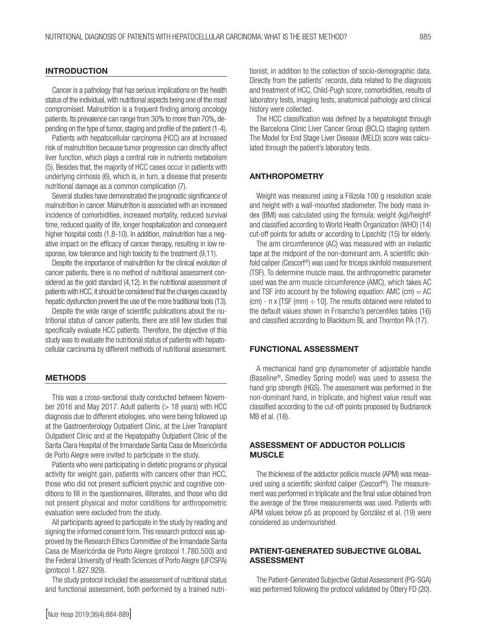## **INTRODUCTION**

Cancer is a pathology that has serious implications on the health status of the individual, with nutritional aspects being one of the most compromised. Malnutrition is a frequent finding among oncology patients. Its prevalence can range from 30% to more than 70%, depending on the type of tumor, staging and profile of the patient (1-4).

Patients with hepatocellular carcinoma (HCC) are at increased risk of malnutrition because tumor progression can directly affect liver function, which plays a central role in nutrients metabolism (5). Besides that, the majority of HCC cases occur in patients with underlying cirrhosis (6), which is, in turn, a disease that presents nutritional damage as a common complication (7).

Several studies have demonstrated the prognostic significance of malnutrition in cancer. Malnutrition is associated with an increased incidence of comorbidities, increased mortality, reduced survival time, reduced quality of life, longer hospitalization and consequent higher hospital costs (1,8-10). In addition, malnutrition has a negative impact on the efficacy of cancer therapy, resulting in low response, low tolerance and high toxicity to the treatment (9,11).

Despite the importance of malnutrition for the clinical evolution of cancer patients, there is no method of nutritional assessment considered as the gold standard (4,12). In the nutritional assessment of patients with HCC, it should be considered that the changes caused by hepatic dysfunction prevent the use of the more traditional tools (13).

Despite the wide range of scientific publications about the nutritional status of cancer patients, there are still few studies that specifically evaluate HCC patients. Therefore, the objective of this study was to evaluate the nutritional status of patients with hepatocellular carcinoma by different methods of nutritional assessment.

## **METHODS**

This was a cross-sectional study conducted between November 2016 and May 2017. Adult patients  $(> 18$  years) with HCC diagnosis due to different etiologies, who were being followed up at the Gastroenterology Outpatient Clinic, at the Liver Transplant Outpatient Clinic and at the Hepatopathy Outpatient Clinic of the Santa Clara Hospital of the Irmandade Santa Casa de Misericórdia de Porto Alegre were invited to participate in the study.

Patients who were participating in dietetic programs or physical activity for weight gain, patients with cancers other than HCC, those who did not present sufficient psychic and cognitive conditions to fill in the questionnaires, illiterates, and those who did not present physical and motor conditions for anthropometric evaluation were excluded from the study.

All participants agreed to participate in the study by reading and signing the informed consent form. This research protocol was approved by the Research Ethics Committee of the Irmandade Santa Casa de Misericórdia de Porto Alegre (protocol 1.780.500) and the Federal University of Health Sciences of Porto Alegre (UFCSPA) (protocol 1.827.929).

The study protocol included the assessment of nutritional status and functional assessment, both performed by a trained nutritionist, in addition to the collection of socio-demographic data. Directly from the patients' records, data related to the diagnosis and treatment of HCC, Child-Pugh score, comorbidities, results of laboratory tests, imaging tests, anatomical pathology and clinical history were collected.

The HCC classification was defined by a hepatologist through the Barcelona Clinic Liver Cancer Group (BCLC) staging system. The Model for End Stage Liver Disease (MELD) score was calculated through the patient's laboratory tests.

## ANTHROPOMETRY

Weight was measured using a Filizola 100 g resolution scale and height with a wall-mounted stadiometer. The body mass index (BMI) was calculated using the formula: weight (kg)/height<sup>2</sup> and classified according to World Health Organization (WHO) (14) cut-off points for adults or according to Lipschitz (15) for elderly.

The arm circumference (AC) was measured with an inelastic tape at the midpoint of the non-dominant arm. A scientific skinfold caliper (Cescorf®) was used for triceps skinfold measurement (TSF). To determine muscle mass, the anthropometric parameter used was the arm muscle circumference (AMC), which takes AC and TSF into account by the following equation: AMC (cm)  $=$  AC (cm) -  $\pi$  x [TSF (mm)  $\div$  10]. The results obtained were related to the default values shown in Frisancho's percentiles tables (16) and classified according to Blackburn BL and Thornton PA (17).

#### FUNCTIONAL ASSESSMENT

A mechanical hand grip dynamometer of adjustable handle (Baseline®, Smedley Spring model) was used to assess the hand grip strength (HGS). The assessment was performed in the non-dominant hand, in triplicate, and highest value result was classified according to the cut-off points proposed by Budziareck MB et al. (18).

# ASSESSMENT OF ADDUCTOR POLLICIS **MUSCLE**

The thickness of the adductor pollicis muscle (APM) was measured using a scientific skinfold caliper (Cescorf®). The measurement was performed in triplicate and the final value obtained from the average of the three measurements was used. Patients with APM values below p5 as proposed by González et al. (19) were considered as undernourished.

# PATIENT-GENERATED SUBJECTIVE GLOBAL ASSESSMENT

The Patient-Generated Subjective Global Assessment (PG-SGA) was performed following the protocol validated by Ottery FD (20).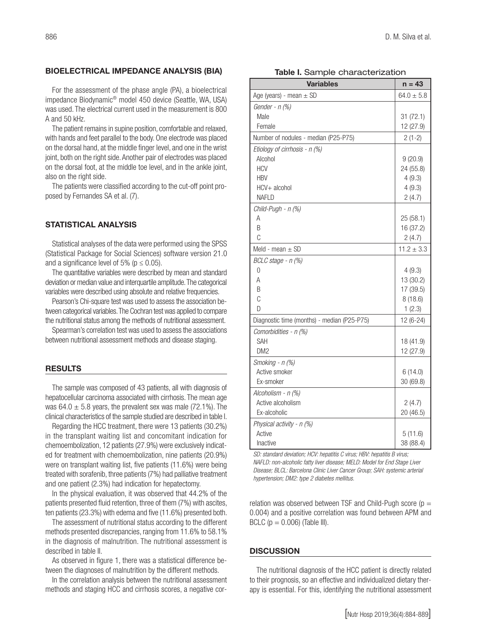#### BIOELECTRICAL IMPEDANCE ANALYSIS (BIA)

For the assessment of the phase angle (PA), a bioelectrical impedance Biodynamic® model 450 device (Seattle, WA, USA) was used. The electrical current used in the measurement is 800 A and 50 kHz.

The patient remains in supine position, comfortable and relaxed, with hands and feet parallel to the body. One electrode was placed on the dorsal hand, at the middle finger level, and one in the wrist joint, both on the right side. Another pair of electrodes was placed on the dorsal foot, at the middle toe level, and in the ankle joint, also on the right side.

The patients were classified according to the cut-off point proposed by Fernandes SA et al. (7).

# STATISTICAL ANALYSIS

Statistical analyses of the data were performed using the SPSS (Statistical Package for Social Sciences) software version 21.0 and a significance level of 5% ( $p \le 0.05$ ).

The quantitative variables were described by mean and standard deviation or median value and interquartile amplitude. The categorical variables were described using absolute and relative frequencies.

Pearson's Chi-square test was used to assess the association between categorical variables. The Cochran test was applied to compare the nutritional status among the methods of nutritional assessment.

Spearman's correlation test was used to assess the associations between nutritional assessment methods and disease staging.

#### **RESULTS**

The sample was composed of 43 patients, all with diagnosis of hepatocellular carcinoma associated with cirrhosis. The mean age was  $64.0 \pm 5.8$  years, the prevalent sex was male (72.1%). The clinical characteristics of the sample studied are described in table I.

Regarding the HCC treatment, there were 13 patients (30.2%) in the transplant waiting list and concomitant indication for chemoembolization, 12 patients (27.9%) were exclusively indicated for treatment with chemoembolization, nine patients (20.9%) were on transplant waiting list, five patients (11.6%) were being treated with sorafenib, three patients (7%) had palliative treatment and one patient (2.3%) had indication for hepatectomy.

In the physical evaluation, it was observed that 44.2% of the patients presented fluid retention, three of them (7%) with ascites, ten patients (23.3%) with edema and five (11.6%) presented both.

The assessment of nutritional status according to the different methods presented discrepancies, ranging from 11.6% to 58.1% in the diagnosis of malnutrition. The nutritional assessment is described in table II.

As observed in figure 1, there was a statistical difference between the diagnoses of malnutrition by the different methods.

In the correlation analysis between the nutritional assessment methods and staging HCC and cirrhosis scores, a negative cor-

|  |  |  | Table I. Sample characterization |
|--|--|--|----------------------------------|
|--|--|--|----------------------------------|

| <b>Variables</b>                            | n = 43         |
|---------------------------------------------|----------------|
| Age (years) - mean $\pm$ SD                 | $64.0 \pm 5.8$ |
| Gender - $n$ (%)                            |                |
| Male                                        | 31(72.1)       |
| Female                                      | 12 (27.9)      |
| Number of nodules - median (P25-P75)        | $2(1-2)$       |
| Etiology of cirrhosis - n (%)               |                |
| Alcohol                                     | 9(20.9)        |
| <b>HCV</b>                                  | 24 (55.8)      |
| <b>HBV</b>                                  | 4(9.3)         |
| HCV+ alcohol                                | 4(9.3)         |
| <b>NAFLD</b>                                | 2(4.7)         |
| Child-Pugh - n (%)                          |                |
| А                                           | 25 (58.1)      |
| B                                           | 16 (37.2)      |
| C                                           | 2(4.7)         |
| Meld - mean $\pm$ SD                        | $11.2 \pm 3.3$ |
| BCLC stage - n (%)                          |                |
| 0                                           | 4(9.3)         |
| А                                           | 13 (30.2)      |
| B                                           | 17 (39.5)      |
| C                                           | 8(18.6)        |
| D                                           | 1(2.3)         |
| Diagnostic time (months) - median (P25-P75) | 12 (6-24)      |
| Comorbidities - n (%)                       |                |
| SAH                                         | 18 (41.9)      |
| DM <sub>2</sub>                             | 12 (27.9)      |
| Smoking - n (%)                             |                |
| Active smoker                               | 6(14.0)        |
| Ex-smoker                                   | 30 (69.8)      |
| Alcoholism - n (%)                          |                |
| Active alcoholism                           | 2(4.7)         |
| Ex-alcoholic                                | 20 (46.5)      |
| Physical activity - n (%)                   |                |
| Active                                      | 5(11.6)        |
| Inactive                                    | 38 (88.4)      |

*SD: standard deviation; HCV: hepatitis C virus; HBV: hepatitis B virus; NAFLD: non-alcoholic fatty liver disease; MELD: Model for End Stage Liver Disease; BLCL: Barcelona Clinic Liver Cancer Group; SAH: systemic arterial hypertension; DM2: type 2 diabetes mellitus.*

relation was observed between TSF and Child-Pugh score ( $p =$ 0.004) and a positive correlation was found between APM and BCLC ( $p = 0.006$ ) (Table III).

#### **DISCUSSION**

The nutritional diagnosis of the HCC patient is directly related to their prognosis, so an effective and individualized dietary therapy is essential. For this, identifying the nutritional assessment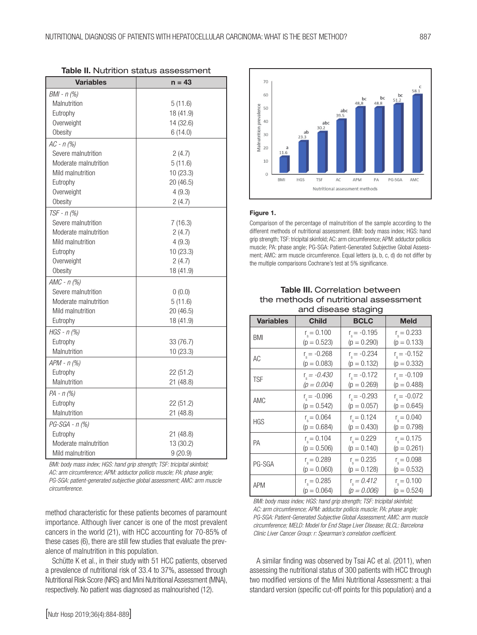| <b>Variables</b>      | $n = 43$  |  |  |
|-----------------------|-----------|--|--|
| $BMI - n$ (%)         |           |  |  |
| Malnutrition          | 5(11.6)   |  |  |
| Eutrophy              | 18 (41.9) |  |  |
| Overweight            | 14 (32.6) |  |  |
| Obesity               | 6(14.0)   |  |  |
| $AC - n$ (%)          |           |  |  |
| Severe malnutrition   | 2(4.7)    |  |  |
| Moderate malnutrition | 5(11.6)   |  |  |
| Mild malnutrition     | 10 (23.3) |  |  |
| Eutrophy              | 20 (46.5) |  |  |
| Overweight            | 4(9.3)    |  |  |
| Obesity               | 2(4.7)    |  |  |
| $TSF - n$ (%)         |           |  |  |
| Severe malnutrition   | 7(16.3)   |  |  |
| Moderate malnutrition | 2(4.7)    |  |  |
| Mild malnutrition     | 4(9.3)    |  |  |
| Eutrophy              | 10 (23.3) |  |  |
| Overweight            | 2(4.7)    |  |  |
| Obesity               | 18 (41.9) |  |  |
| $AMC - n$ (%)         |           |  |  |
| Severe malnutrition   | 0(0.0)    |  |  |
| Moderate malnutrition | 5(11.6)   |  |  |
| Mild malnutrition     | 20 (46.5) |  |  |
| Eutrophy              | 18 (41.9) |  |  |
| $HGS - n$ (%)         |           |  |  |
| Eutrophy              | 33 (76.7) |  |  |
| Malnutrition          | 10(23.3)  |  |  |
| $APM - n$ (%)         |           |  |  |
| Eutrophy              | 22 (51.2) |  |  |
| Malnutrition          | 21 (48.8) |  |  |
| $PA - n$ (%)          |           |  |  |
| Eutrophy              | 22 (51.2) |  |  |
| Malnutrition          | 21 (48.8) |  |  |
| $PG-SGA - n$ (%)      |           |  |  |
| Eutrophy              | 21 (48.8) |  |  |
| Moderate malnutrition | 13 (30.2) |  |  |
| Mild malnutrition     | 9(20.9)   |  |  |

| <b>Table II.</b> Nutrition status assessment |  |  |
|----------------------------------------------|--|--|
|----------------------------------------------|--|--|

*BMI: body mass index; HGS: hand grip strength; TSF: tricipital skinfold; AC: arm circumference; APM: adductor pollicis muscle; PA: phase angle; PG-SGA: patient-generated subjective global assessment; AMC: arm muscle circumference.* 

method characteristic for these patients becomes of paramount importance. Although liver cancer is one of the most prevalent cancers in the world (21), with HCC accounting for 70-85% of these cases (6), there are still few studies that evaluate the prevalence of malnutrition in this population.

Schütte K et al., in their study with 51 HCC patients, observed a prevalence of nutritional risk of 33.4 to 37%, assessed through Nutritional Risk Score (NRS) and Mini Nutritional Assessment (MNA), respectively. No patient was diagnosed as malnourished (12).



*BMI: body mass index; HGS: hand grip strength; TSF: tricipital skinfold; AC: arm circumference; APM: adductor pollicis muscle; PA: phase angle; PG-SGA: Patient-Generated Subjective Global Assessment; AMC: arm muscle circumference; MELD: Model for End Stage Liver Disease; BLCL: Barcelona Clinic Liver Cancer Group: r: Spearman's correlation coefficient.*

A similar finding was observed by Tsai AC et al. (2011), when assessing the nutritional status of 300 patients with HCC through two modified versions of the Mini Nutritional Assessment: a thai standard version (specific cut-off points for this population) and a



#### Figure 1.

Comparison of the percentage of malnutrition of the sample according to the different methods of nutritional assessment. BMI: body mass index; HGS: hand grip strength; TSF: tricipital skinfold; AC: arm circumference; APM: adductor pollicis muscle; PA: phase angle; PG-SGA: Patient-Generated Subjective Global Assessment; AMC: arm muscle circumference. Equal letters (a, b, c, d) do not differ by the multiple comparisons Cochrane's test at 5% significance.

### Table III. Correlation between the methods of nutritional assessment and disease staging

| anu uisease staying |                      |                      |                      |  |  |  |
|---------------------|----------------------|----------------------|----------------------|--|--|--|
| <b>Variables</b>    | <b>Child</b>         | <b>BCLC</b>          | <b>Meld</b>          |  |  |  |
| BMI                 | $r_{\rm s} = 0.100$  | $r_{\rm s}$ = -0.195 | $r_{s} = 0.233$      |  |  |  |
|                     | $(p = 0.523)$        | $(p = 0.290)$        | $(p = 0.133)$        |  |  |  |
| AC                  | $r_{\rm s}$ = -0.268 | $r_{\rm s}$ = -0.234 | $r_{\rm s}$ = -0.152 |  |  |  |
|                     | $(p = 0.083)$        | $(p = 0.132)$        | $(p = 0.332)$        |  |  |  |
| <b>TSF</b>          | $r_{\rm s} = -0.430$ | $r_{\rm s}$ = -0.172 | $r_{\rm s} = -0.109$ |  |  |  |
|                     | $(p = 0.004)$        | $(p = 0.269)$        | $(p = 0.488)$        |  |  |  |
| AMC                 | $r_{\rm s}$ = -0.096 | $r_{\rm s}$ = -0.293 | $r_{\rm s}$ = -0.072 |  |  |  |
|                     | $(p = 0.542)$        | $(p = 0.057)$        | $(p = 0.645)$        |  |  |  |
| <b>HGS</b>          | $r_{\rm s} = 0.064$  | $r_{\rm s} = 0.124$  | $r_{\rm s} = 0.040$  |  |  |  |
|                     | $(p = 0.684)$        | $(p = 0.430)$        | $(p = 0.798)$        |  |  |  |
| PA                  | $r_{\rm s} = 0.104$  | $r_{\rm s} = 0.229$  | $r_{\rm s} = 0.175$  |  |  |  |
|                     | $(p = 0.506)$        | $(p = 0.140)$        | $(p = 0.261)$        |  |  |  |
| PG-SGA              | $r_{s} = 0.289$      | $r_{\rm e} = 0.235$  | $r_{\rm s} = 0.098$  |  |  |  |
|                     | $(p = 0.060)$        | $(p = 0.128)$        | $(p = 0.532)$        |  |  |  |
| <b>APM</b>          | $r_{\rm e} = 0.285$  | $r_{\rm s} = 0.412$  | $r_{\rm s} = 0.100$  |  |  |  |
|                     | $(p = 0.064)$        | $(p = 0.006)$        | $(p = 0.524)$        |  |  |  |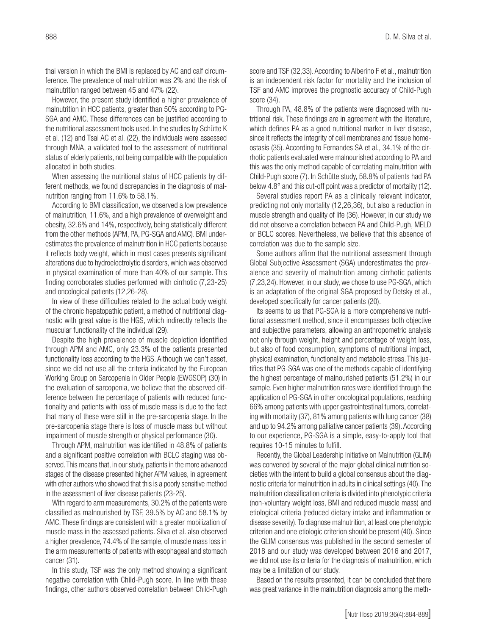thai version in which the BMI is replaced by AC and calf circumference. The prevalence of malnutrition was 2% and the risk of malnutrition ranged between 45 and 47% (22).

However, the present study identified a higher prevalence of malnutrition in HCC patients, greater than 50% according to PG-SGA and AMC. These differences can be justified according to the nutritional assessment tools used. In the studies by Schütte K et al. (12) and Tsai AC et al. (22), the individuals were assessed through MNA, a validated tool to the assessment of nutritional status of elderly patients, not being compatible with the population allocated in both studies.

When assessing the nutritional status of HCC patients by different methods, we found discrepancies in the diagnosis of malnutrition ranging from 11.6% to 58.1%.

According to BMI classification, we observed a low prevalence of malnutrition, 11.6%, and a high prevalence of overweight and obesity, 32.6% and 14%, respectively, being statistically different from the other methods (APM, PA, PG-SGA and AMC). BMI underestimates the prevalence of malnutrition in HCC patients because it reflects body weight, which in most cases presents significant alterations due to hydroelectrolytic disorders, which was observed in physical examination of more than 40% of our sample. This finding corroborates studies performed with cirrhotic (7,23-25) and oncological patients (12,26-28).

In view of these difficulties related to the actual body weight of the chronic hepatopathic patient, a method of nutritional diagnostic with great value is the HGS, which indirectly reflects the muscular functionality of the individual (29).

Despite the high prevalence of muscle depletion identified through APM and AMC, only 23.3% of the patients presented functionality loss according to the HGS. Although we can't asset, since we did not use all the criteria indicated by the European Working Group on Sarcopenia in Older People (EWGSOP) (30) in the evaluation of sarcopenia, we believe that the observed difference between the percentage of patients with reduced functionality and patients with loss of muscle mass is due to the fact that many of these were still in the pre-sarcopenia stage. In the pre-sarcopenia stage there is loss of muscle mass but without impairment of muscle strength or physical performance (30).

Through APM, malnutrition was identified in 48.8% of patients and a significant positive correlation with BCLC staging was observed. This means that, in our study, patients in the more advanced stages of the disease presented higher APM values, in agreement with other authors who showed that this is a poorly sensitive method in the assessment of liver disease patients (23-25).

With regard to arm measurements, 30.2% of the patients were classified as malnourished by TSF, 39.5% by AC and 58.1% by AMC. These findings are consistent with a greater mobilization of muscle mass in the assessed patients. Silva et al. also observed a higher prevalence, 74.4% of the sample, of muscle mass loss in the arm measurements of patients with esophageal and stomach cancer (31).

In this study, TSF was the only method showing a significant negative correlation with Child-Pugh score. In line with these findings, other authors observed correlation between Child-Pugh score and TSF (32,33). According to Alberino F et al., malnutrition is an independent risk factor for mortality and the inclusion of TSF and AMC improves the prognostic accuracy of Child-Pugh score (34).

Through PA, 48.8% of the patients were diagnosed with nutritional risk. These findings are in agreement with the literature, which defines PA as a good nutritional marker in liver disease, since it reflects the integrity of cell membranes and tissue homeostasis (35). According to Fernandes SA et al., 34.1% of the cirrhotic patients evaluated were malnourished according to PA and this was the only method capable of correlating malnutrition with Child-Pugh score (7). In Schütte study, 58.8% of patients had PA below 4.8° and this cut-off point was a predictor of mortality (12).

Several studies report PA as a clinically relevant indicator, predicting not only mortality (12,26,36), but also a reduction in muscle strength and quality of life (36). However, in our study we did not observe a correlation between PA and Child-Pugh, MELD or BCLC scores. Nevertheless, we believe that this absence of correlation was due to the sample size.

Some authors affirm that the nutritional assessment through Global Subjective Assessment (SGA) underestimates the prevalence and severity of malnutrition among cirrhotic patients (7,23,24). However, in our study, we chose to use PG-SGA, which is an adaptation of the original SGA proposed by Detsky et al., developed specifically for cancer patients (20).

Its seems to us that PG-SGA is a more comprehensive nutritional assessment method, since it encompasses both objective and subjective parameters, allowing an anthropometric analysis not only through weight, height and percentage of weight loss, but also of food consumption, symptoms of nutritional impact, physical examination, functionality and metabolic stress. This justifies that PG-SGA was one of the methods capable of identifying the highest percentage of malnourished patients (51.2%) in our sample. Even higher malnutrition rates were identified through the application of PG-SGA in other oncological populations, reaching 66% among patients with upper gastrointestinal tumors, correlating with mortality (37), 81% among patients with lung cancer (38) and up to 94.2% among palliative cancer patients (39). According to our experience, PG-SGA is a simple, easy-to-apply tool that requires 10-15 minutes to fulfill.

Recently, the Global Leadership Initiative on Malnutrition (GLIM) was convened by several of the major global clinical nutrition societies with the intent to build a global consensus about the diagnostic criteria for malnutrition in adults in clinical settings (40). The malnutrition classification criteria is divided into phenotypic criteria (non-voluntary weight loss, BMI and reduced muscle mass) and etiological criteria (reduced dietary intake and inflammation or disease severity). To diagnose malnutrition, at least one phenotypic criterion and one etiologic criterion should be present (40). Since the GLIM consensus was published in the second semester of 2018 and our study was developed between 2016 and 2017, we did not use its criteria for the diagnosis of malnutrition, which may be a limitation of our study.

Based on the results presented, it can be concluded that there was great variance in the malnutrition diagnosis among the meth